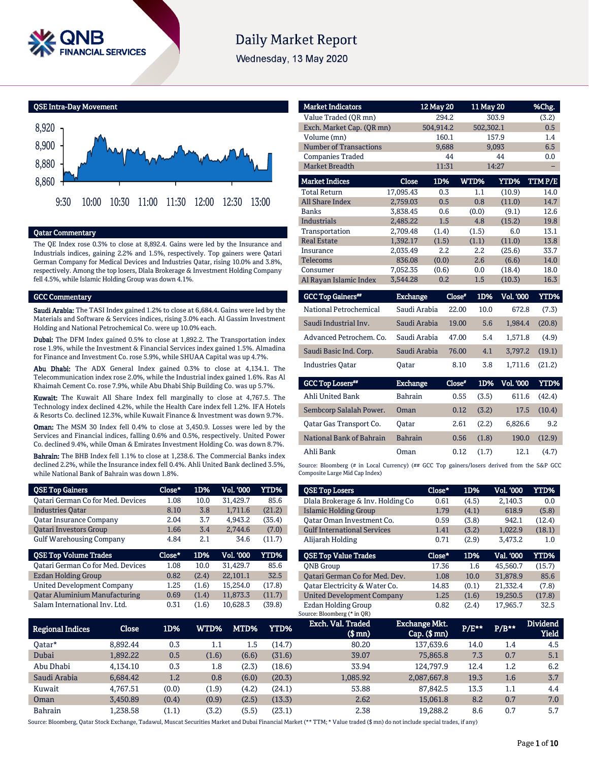

# **Daily Market Report**

Wednesday, 13 May 2020

QSE Intra-Day Movement



# Qatar Commentary

The QE Index rose 0.3% to close at 8,892.4. Gains were led by the Insurance and Industrials indices, gaining 2.2% and 1.5%, respectively. Top gainers were Qatari German Company for Medical Devices and Industries Qatar, rising 10.0% and 3.8%, respectively. Among the top losers, Dlala Brokerage & Investment Holding Company fell 4.5%, while Islamic Holding Group was down 4.1%.

#### GCC Commentary

Saudi Arabia: The TASI Index gained 1.2% to close at 6,684.4. Gains were led by the Materials and Software & Services indices, rising 3.0% each. Al Gassim Investment Holding and National Petrochemical Co. were up 10.0% each.

Dubai: The DFM Index gained 0.5% to close at 1,892.2. The Transportation index rose 1.9%, while the Investment & Financial Services index gained 1.5%. Almadina for Finance and Investment Co. rose 5.9%, while SHUAA Capital was up 4.7%.

Abu Dhabi: The ADX General Index gained 0.3% to close at 4,134.1. The Telecommunication index rose 2.0%, while the Industrial index gained 1.6%. Ras Al Khaimah Cement Co. rose 7.9%, while Abu Dhabi Ship Building Co. was up 5.7%.

Kuwait: The Kuwait All Share Index fell marginally to close at 4,767.5. The Technology index declined 4.2%, while the Health Care index fell 1.2%. IFA Hotels & Resorts Co. declined 12.3%, while Kuwait Finance & Investment was down 9.7%.

Oman: The MSM 30 Index fell 0.4% to close at 3,450.9. Losses were led by the Services and Financial indices, falling 0.6% and 0.5%, respectively. United Power Co. declined 9.4%, while Oman & Emirates Investment Holding Co. was down 8.7%.

Bahrain: The BHB Index fell 1.1% to close at 1,238.6. The Commercial Banks index declined 2.2%, while the Insurance index fell 0.4%. Ahli United Bank declined 3.5%, while National Bank of Bahrain was down 1.8%.

| <b>QSE Top Gainers</b>                   | $Close*$ | 1D%   | Vol. '000        | <b>YTD%</b> |
|------------------------------------------|----------|-------|------------------|-------------|
| <b>Qatari German Co for Med. Devices</b> | 1.08     | 10.0  | 31,429.7         | 85.6        |
| <b>Industries Oatar</b>                  | 8.10     | 3.8   | 1,711.6          | (21.2)      |
| <b>Oatar Insurance Company</b>           | 2.04     | 3.7   | 4,943.2          | (35.4)      |
| <b>Oatari Investors Group</b>            | 1.66     | 3.4   | 2,744.6          | (7.0)       |
| <b>Gulf Warehousing Company</b>          | 4.84     | 2.1   | 34.6             | (11.7)      |
|                                          |          |       |                  |             |
| <b>QSE Top Volume Trades</b>             | Close*   | 1D%   | <b>Vol. '000</b> | <b>YTD%</b> |
| <b>Qatari German Co for Med. Devices</b> | 1.08     | 10.0  | 31.429.7         | 85.6        |
| <b>Ezdan Holding Group</b>               | 0.82     | (2.4) | 22,101.1         | 32.5        |
| <b>United Development Company</b>        | 1.25     | (1.6) | 15,254.0         | (17.8)      |
| <b>Qatar Aluminium Manufacturing</b>     | 0.69     | (1.4) | 11,873.3         | (11.7)      |

| <b>Market Indicators</b>      |                 | 12 May 20 |        | 11 May 20 |                  | %Chg.       |
|-------------------------------|-----------------|-----------|--------|-----------|------------------|-------------|
| Value Traded (QR mn)          |                 | 294.2     |        |           | 303.9            | (3.2)       |
| Exch. Market Cap. (OR mn)     |                 | 504,914.2 |        | 502,302.1 |                  | 0.5         |
| Volume (mn)                   |                 | 160.1     |        |           | 157.9            | 1.4         |
| <b>Number of Transactions</b> |                 | 9,688     |        |           | 9,093            | 6.5         |
| <b>Companies Traded</b>       |                 |           | 44     |           | 44               | 0.0         |
| <b>Market Breadth</b>         |                 | 11:31     |        |           | 14:27            |             |
| <b>Market Indices</b>         | <b>Close</b>    | 1D%       |        | WTD%      | <b>YTD%</b>      | TTMP/E      |
| <b>Total Return</b>           | 17,095.43       | 0.3       |        | 1.1       | (10.9)           | 14.0        |
| <b>All Share Index</b>        | 2.759.03        | 0.5       |        | 0.8       | (11.0)           | 14.7        |
| <b>Banks</b>                  | 3.838.45        | 0.6       |        | (0.0)     | (9.1)            | 12.6        |
| <b>Industrials</b>            | 2.485.22        | 1.5       |        | 4.8       | (15.2)           | 19.8        |
| Transportation                | 2,709.48        | (1.4)     |        | (1.5)     | 6.0              | 13.1        |
| <b>Real Estate</b>            | 1.392.17        | (1.5)     |        | (1.1)     | (11.0)           | 13.8        |
| Insurance                     | 2,035.49        | 2.2       |        | 2.2       | (25.6)           | 33.7        |
| <b>Telecoms</b>               | 836.08          | (0.0)     |        | 2.6       | (6.6)            | 14.0        |
| Consumer                      | 7,052.35        | (0.6)     |        | 0.0       | (18.4)           | 18.0        |
| Al Rayan Islamic Index        | 3,544.28        | 0.2       |        | 1.5       | (10.3)           | 16.3        |
| <b>GCC Top Gainers**</b>      | <b>Exchange</b> |           | Close* | 1D%       | Vol. '000        | YTD%        |
| National Petrochemical        | Saudi Arabia    |           | 22.00  | 10.0      | 672.8            | (7.3)       |
| Saudi Industrial Inv.         | Saudi Arabia    |           | 19.00  | 5.6       | 1.984.4          | (20.8)      |
| Advanced Petrochem. Co.       | Saudi Arabia    |           | 47.00  | 5.4       | 1,571.8          | (4.9)       |
| Saudi Basic Ind. Corp.        | Saudi Arabia    |           | 76.00  | 4.1       | 3,797.2          | (19.1)      |
| <b>Industries Oatar</b>       | Oatar           |           | 8.10   | 3.8       | 1,711.6          | (21.2)      |
| <b>GCC Top Losers**</b>       | <b>Exchange</b> |           | Close* | 1D%       | <b>Vol. '000</b> | <b>YTD%</b> |

| <b>GCC Top Losers**</b>  | <b>Exchange</b> | Close" | 1D%   | Vol. '000 | YTD%   |
|--------------------------|-----------------|--------|-------|-----------|--------|
| Ahli United Bank         | Bahrain         | 0.55   | (3.5) | 611.6     | (42.4) |
| Sembcorp Salalah Power.  | Oman            | 0.12   | (3.2) | 17.5      | (10.4) |
| Oatar Gas Transport Co.  | Oatar           | 2.61   | (2.2) | 6.826.6   | 9.2    |
| National Bank of Bahrain | <b>Bahrain</b>  | 0.56   | (1.8) | 190.0     | (12.9) |
| Ahli Bank                | Oman            | 0.12   | (1.7) | 12.1      | (4.7)  |
|                          |                 |        |       |           |        |

Source: Bloomberg (# in Local Currency) (## GCC Top gainers/losers derived from the S&P GCC Composite Large Mid Cap Index)

| <b>QSE Top Losers</b>              | Close* | 1D%   | <b>Vol. '000</b> | <b>YTD%</b> |
|------------------------------------|--------|-------|------------------|-------------|
| Dlala Brokerage & Inv. Holding Co  | 0.61   | (4.5) | 2.140.3          | 0.0         |
| Islamic Holding Group              | 1.79   | (4.1) | 618.9            | (5.8)       |
| Oatar Oman Investment Co.          | 0.59   | (3.8) | 942.1            | (12.4)      |
| <b>Gulf International Services</b> | 1.41   | (3.2) | 1.022.9          | (18.1)      |
| Alijarah Holding                   | 0.71   | (2.9) | 3.473.2          | 1.0         |
|                                    |        |       |                  |             |
|                                    |        |       |                  |             |
| <b>QSE Top Value Trades</b>        | Close* | 1D%   | Val. '000        | YTD%        |
| <b>ONB</b> Group                   | 17.36  | 1.6   | 45.560.7         | (15.7)      |
| Oatari German Co for Med. Dev.     | 1.08   | 10.0  | 31,878.9         | 85.6        |
| Oatar Electricity & Water Co.      | 14.83  | (0.1) | 21.332.4         | (7.8)       |
| <b>United Development Company</b>  | 1.25   | (1.6) | 19,250.5         | (17.8)      |

| Regional Indices | Close    | 1D%   | WTD%    | MTD%  | YTD%   | Exch. Val. Traded<br>$$$ mm $)$ | <b>Exchange Mkt.</b><br>$Cap.$ (\$ mn) | $P/E***$ | $P/B**$ | <b>Dividend</b><br>Yield |
|------------------|----------|-------|---------|-------|--------|---------------------------------|----------------------------------------|----------|---------|--------------------------|
| Oatar*           | 8.892.44 | 0.3   | 1.1     | 1.5   | (14.7) | 80.20                           | 137.639.6                              | 14.0     | 1.4     | 4.5                      |
| Dubai            | 1.892.22 | 0.5   | (1.6)   | (6.6) | (31.6) | 39.07                           | 75,865.8                               | 7.3      | 0.7     | 5.1                      |
| Abu Dhabi        | 4.134.10 | 0.3   | $1.8\,$ | (2.3) | (18.6) | 33.94                           | 124.797.9                              | 12.4     | $1.2\,$ | 6.2                      |
| Saudi Arabia     | 6.684.42 | 1.2   | 0.8     | (6.0) | (20.3) | 1,085.92                        | 2,087,667.8                            | 19.3     | 1.6     | 3.7                      |
| Kuwait           | 4.767.51 | (0.0) | (1.9)   | (4.2) | (24.1) | 53.88                           | 87.842.5                               | 13.3     | 1.1     | 4.4                      |
| Oman             | 3.450.89 | (0.4) | (0.9)   | (2.5) | (13.3) | 2.62                            | 15,061.8                               | 8.2      | 0.7     | 7.0                      |
| <b>Bahrain</b>   | L.238.58 | (1.1) | (3.2)   | (5.5) | (23.1) | 2.38                            | 19.288.2                               | 8.6      | 0.7     | 5.7                      |

Source: Bloomberg, Qatar Stock Exchange, Tadawul, Muscat Securities Market and Dubai Financial Market (\*\* TTM; \* Value traded (\$ mn) do not include special trades, if any)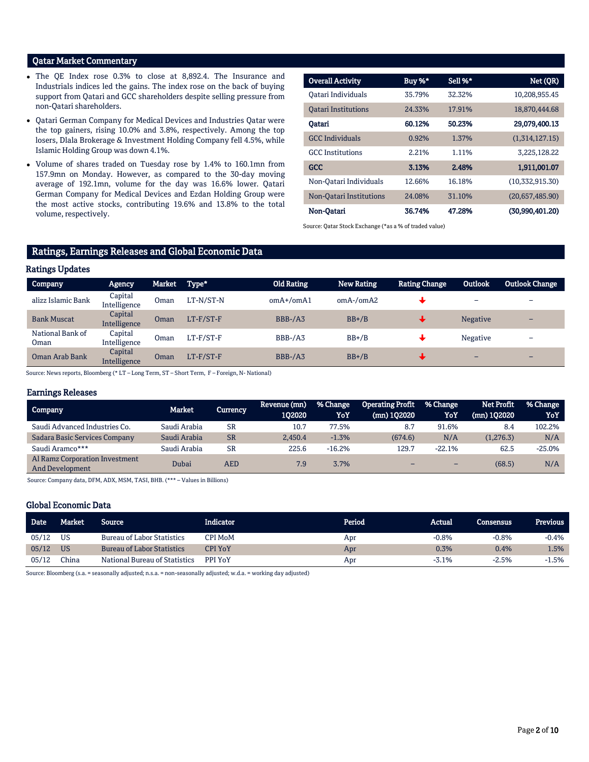# Qatar Market Commentary

- The QE Index rose 0.3% to close at 8,892.4. The Insurance and Industrials indices led the gains. The index rose on the back of buying support from Qatari and GCC shareholders despite selling pressure from non-Qatari shareholders.
- Qatari German Company for Medical Devices and Industries Qatar were the top gainers, rising 10.0% and 3.8%, respectively. Among the top losers, Dlala Brokerage & Investment Holding Company fell 4.5%, while Islamic Holding Group was down 4.1%.
- Volume of shares traded on Tuesday rose by 1.4% to 160.1mn from 157.9mn on Monday. However, as compared to the 30-day moving average of 192.1mn, volume for the day was 16.6% lower. Qatari German Company for Medical Devices and Ezdan Holding Group were the most active stocks, contributing 19.6% and 13.8% to the total volume, respectively.

| <b>Overall Activity</b>    | Buy %* | Sell %* | Net (QR)        |
|----------------------------|--------|---------|-----------------|
| Oatari Individuals         | 35.79% | 32.32%  | 10.208.955.45   |
| <b>Oatari Institutions</b> | 24.33% | 17.91%  | 18,870,444.68   |
| Oatari                     | 60.12% | 50.23%  | 29,079,400.13   |
| <b>GCC</b> Individuals     | 0.92%  | 1.37%   | (1,314,127.15)  |
| <b>GCC</b> Institutions    | 2.21%  | 1.11%   | 3,225,128.22    |
| GCC                        | 3.13%  | 2.48%   | 1,911,001.07    |
| Non-Oatari Individuals     | 12.66% | 16.18%  | (10,332,915.30) |
| Non-Oatari Institutions    | 24.08% | 31.10%  | (20,657,485.90) |
| Non-Oatari                 | 36.74% | 47.28%  | (30,990,401.20) |

Source: Qatar Stock Exchange (\*as a % of traded value)

# Ratings, Earnings Releases and Global Economic Data

# Ratings Updates

| Company                              | Agency                  | Market | Type*     | Old Rating   | <b>New Rating</b> | <b>Rating Change</b> | <b>Outlook</b>           | Outlook Change |
|--------------------------------------|-------------------------|--------|-----------|--------------|-------------------|----------------------|--------------------------|----------------|
| alizz Islamic Bank                   | Capital<br>Intelligence | Oman   | LT-N/ST-N | $omA+ /omA1$ | omA-/omA2         |                      | $\overline{\phantom{0}}$ | -              |
| <b>Bank Muscat</b>                   | Capital<br>Intelligence | Oman   | LT-F/ST-F | BBB-/A3      | $BB+/B$           |                      | <b>Negative</b>          | -              |
| National Bank of<br>0 <sub>man</sub> | Capital<br>Intelligence | Oman   | LT-F/ST-F | BBB-/A3      | $BB+/B$           |                      | Negative                 | -              |
| Oman Arab Bank                       | Capital<br>Intelligence | Oman   | LT-F/ST-F | BBB-/A3      | $BB+/B$           |                      | $-$                      | -              |

Source: News reports, Bloomberg (\* LT – Long Term, ST – Short Term, F – Foreign, N- National)

# Earnings Releases

| Company                                           | Market       | <b>Currency</b> | Revenue (mn)<br>102020 | % Change<br>YoY | <b>Operating Profit</b><br>(mn) 102020 | % Change<br>YoY | Net Profit<br>$(mn)$ 102020 | % Change<br>YoY |
|---------------------------------------------------|--------------|-----------------|------------------------|-----------------|----------------------------------------|-----------------|-----------------------------|-----------------|
| Saudi Advanced Industries Co.                     | Saudi Arabia | SR              | 10.7                   | 77.5%           | 8.7                                    | 91.6%           | 8.4                         | 102.2%          |
| Sadara Basic Services Company                     | Saudi Arabia | <b>SR</b>       | 2.450.4                | $-1.3%$         | (674.6)                                | N/A             | (1,276.3)                   | N/A             |
| Saudi Aramco***                                   | Saudi Arabia | SR              | 225.6                  | $-16.2%$        | 129.7                                  | $-22.1%$        | 62.5                        | $-25.0%$        |
| Al Ramz Corporation Investment<br>And Development | Dubai        | <b>AED</b>      | 7.9                    | 3.7%            | _                                      | -               | (68.5)                      | N/A             |

Source: Company data, DFM, ADX, MSM, TASI, BHB. (\*\*\* – Values in Billions)

# Global Economic Data

| <b>Date</b> | Market | Source '                          | Indicator | Period | Actual  | <b>Consensus</b> | <b>Previous</b> |
|-------------|--------|-----------------------------------|-----------|--------|---------|------------------|-----------------|
| 05/12       | US     | <b>Bureau of Labor Statistics</b> | CPI MoM   | Apr    | $-0.8%$ | $-0.8%$          | $-0.4%$         |
| 05/12       | US     | <b>Bureau of Labor Statistics</b> | CPI YoY   | Apr    | 0.3%    | $0.4\%$          | $.5\%$          |
| 05/12       | China  | National Bureau of Statistics     | PPI YoY   | Apr    | $-3.1%$ | $-2.5%$          | $-1.5%$         |

Source: Bloomberg (s.a. = seasonally adjusted; n.s.a. = non-seasonally adjusted; w.d.a. = working day adjusted)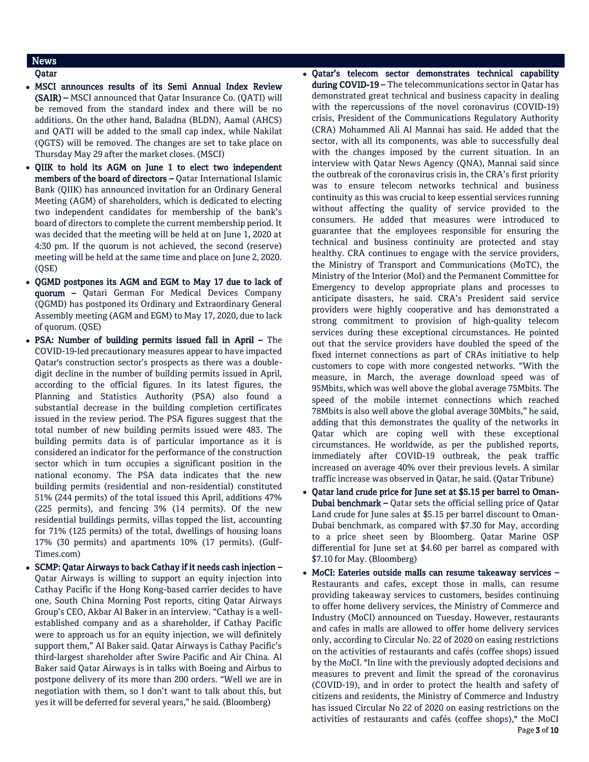# News

# Qatar

- MSCI announces results of its Semi Annual Index Review (SAIR) – MSCI announced that Qatar Insurance Co. (QATI) will be removed from the standard index and there will be no additions. On the other hand, Baladna (BLDN), Aamal (AHCS) and QATI will be added to the small cap index, while Nakilat (QGTS) will be removed. The changes are set to take place on Thursday May 29 after the market closes. (MSCI)
- QIIK to hold its AGM on June 1 to elect two independent members of the board of directors – Qatar International Islamic Bank (QIIK) has announced invitation for an Ordinary General Meeting (AGM) of shareholders, which is dedicated to electing two independent candidates for membership of the bank's board of directors to complete the current membership period. It was decided that the meeting will be held at on June 1, 2020 at 4:30 pm. If the quorum is not achieved, the second (reserve) meeting will be held at the same time and place on June 2, 2020. (QSE)
- QGMD postpones its AGM and EGM to May 17 due to lack of quorum – Qatari German For Medical Devices Company (QGMD) has postponed its Ordinary and Extraordinary General Assembly meeting (AGM and EGM) to May 17, 2020, due to lack of quorum. (QSE)
- PSA: Number of building permits issued fall in April The COVID-19-led precautionary measures appear to have impacted Qatar's construction sector's prospects as there was a doubledigit decline in the number of building permits issued in April, according to the official figures. In its latest figures, the Planning and Statistics Authority (PSA) also found a substantial decrease in the building completion certificates issued in the review period. The PSA figures suggest that the total number of new building permits issued were 483. The building permits data is of particular importance as it is considered an indicator for the performance of the construction sector which in turn occupies a significant position in the national economy. The PSA data indicates that the new building permits (residential and non-residential) constituted 51% (244 permits) of the total issued this April, additions 47% (225 permits), and fencing 3% (14 permits). Of the new residential buildings permits, villas topped the list, accounting for 71% (125 permits) of the total, dwellings of housing loans 17% (30 permits) and apartments 10% (17 permits). (Gulf-Times.com)
- SCMP: Qatar Airways to back Cathay if it needs cash injection Qatar Airways is willing to support an equity injection into Cathay Pacific if the Hong Kong-based carrier decides to have one, South China Morning Post reports, citing Qatar Airways Group's CEO, Akbar Al Baker in an interview. "Cathay is a wellestablished company and as a shareholder, if Cathay Pacific were to approach us for an equity injection, we will definitely support them," Al Baker said. Qatar Airways is Cathay Pacific's third-largest shareholder after Swire Pacific and Air China. Al Baker said Qatar Airways is in talks with Boeing and Airbus to postpone delivery of its more than 200 orders. "Well we are in negotiation with them, so I don't want to talk about this, but yes it will be deferred for several years," he said. (Bloomberg)
- Qatar's telecom sector demonstrates technical capability during COVID-19 – The telecommunications sector in Qatar has demonstrated great technical and business capacity in dealing with the repercussions of the novel coronavirus (COVID-19) crisis, President of the Communications Regulatory Authority (CRA) Mohammed Ali Al Mannai has said. He added that the sector, with all its components, was able to successfully deal with the changes imposed by the current situation. In an interview with Qatar News Agency (QNA), Mannai said since the outbreak of the coronavirus crisis in, the CRA's first priority was to ensure telecom networks technical and business continuity as this was crucial to keep essential services running without affecting the quality of service provided to the consumers. He added that measures were introduced to guarantee that the employees responsible for ensuring the technical and business continuity are protected and stay healthy. CRA continues to engage with the service providers, the Ministry of Transport and Communications (MoTC), the Ministry of the Interior (MoI) and the Permanent Committee for Emergency to develop appropriate plans and processes to anticipate disasters, he said. CRA's President said service providers were highly cooperative and has demonstrated a strong commitment to provision of high-quality telecom services during these exceptional circumstances. He pointed out that the service providers have doubled the speed of the fixed internet connections as part of CRAs initiative to help customers to cope with more congested networks. "With the measure, in March, the average download speed was of 95Mbits, which was well above the global average 75Mbits. The speed of the mobile internet connections which reached 78Mbits is also well above the global average 30Mbits," he said, adding that this demonstrates the quality of the networks in Qatar which are coping well with these exceptional circumstances. He worldwide, as per the published reports, immediately after COVID-19 outbreak, the peak traffic increased on average 40% over their previous levels. A similar traffic increase was observed in Qatar, he said. (Qatar Tribune)
- Qatar land crude price for June set at \$5.15 per barrel to Oman-Dubai benchmark – Qatar sets the official selling price of Qatar Land crude for June sales at \$5.15 per barrel discount to Oman-Dubai benchmark, as compared with \$7.30 for May, according to a price sheet seen by Bloomberg. Qatar Marine OSP differential for June set at \$4.60 per barrel as compared with \$7.10 for May. (Bloomberg)
- MoCI: Eateries outside malls can resume takeaway services Restaurants and cafes, except those in malls, can resume providing takeaway services to customers, besides continuing to offer home delivery services, the Ministry of Commerce and Industry (MoCI) announced on Tuesday. However, restaurants and cafes in malls are allowed to offer home delivery services only, according to Circular No. 22 of 2020 on easing restrictions on the activities of restaurants and cafés (coffee shops) issued by the MoCI. "In line with the previously adopted decisions and measures to prevent and limit the spread of the coronavirus (COVID-19), and in order to protect the health and safety of citizens and residents, the Ministry of Commerce and Industry has issued Circular No 22 of 2020 on easing restrictions on the activities of restaurants and cafés (coffee shops)," the MoCI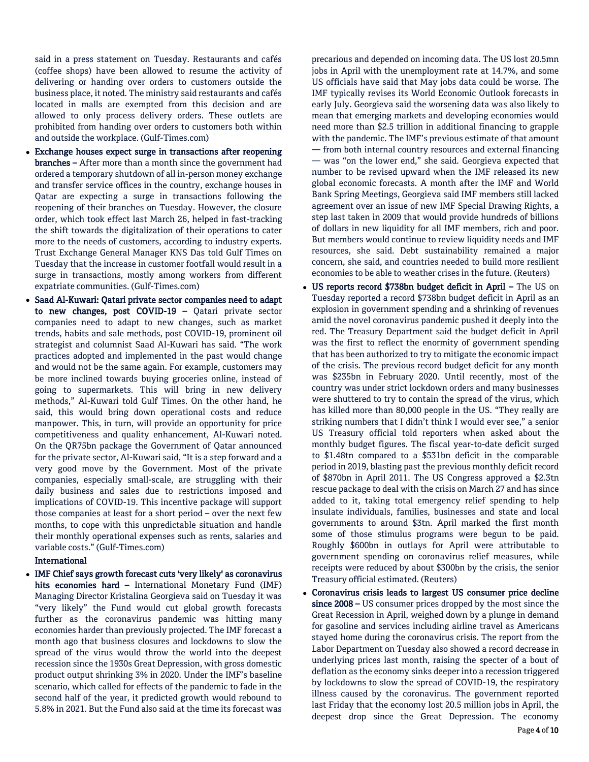said in a press statement on Tuesday. Restaurants and cafés (coffee shops) have been allowed to resume the activity of delivering or handing over orders to customers outside the business place, it noted. The ministry said restaurants and cafés located in malls are exempted from this decision and are allowed to only process delivery orders. These outlets are prohibited from handing over orders to customers both within and outside the workplace. (Gulf-Times.com)

- Exchange houses expect surge in transactions after reopening branches – After more than a month since the government had ordered a temporary shutdown of all in-person money exchange and transfer service offices in the country, exchange houses in Qatar are expecting a surge in transactions following the reopening of their branches on Tuesday. However, the closure order, which took effect last March 26, helped in fast-tracking the shift towards the digitalization of their operations to cater more to the needs of customers, according to industry experts. Trust Exchange General Manager KNS Das told Gulf Times on Tuesday that the increase in customer footfall would result in a surge in transactions, mostly among workers from different expatriate communities. (Gulf-Times.com)
- Saad Al-Kuwari: Qatari private sector companies need to adapt to new changes, post COVID-19 – Qatari private sector companies need to adapt to new changes, such as market trends, habits and sale methods, post COVID-19, prominent oil strategist and columnist Saad Al-Kuwari has said. "The work practices adopted and implemented in the past would change and would not be the same again. For example, customers may be more inclined towards buying groceries online, instead of going to supermarkets. This will bring in new delivery methods," Al-Kuwari told Gulf Times. On the other hand, he said, this would bring down operational costs and reduce manpower. This, in turn, will provide an opportunity for price competitiveness and quality enhancement, Al-Kuwari noted. On the QR75bn package the Government of Qatar announced for the private sector, Al-Kuwari said, "It is a step forward and a very good move by the Government. Most of the private companies, especially small-scale, are struggling with their daily business and sales due to restrictions imposed and implications of COVID-19. This incentive package will support those companies at least for a short period – over the next few months, to cope with this unpredictable situation and handle their monthly operational expenses such as rents, salaries and variable costs." (Gulf-Times.com)

# International

 IMF Chief says growth forecast cuts 'very likely' as coronavirus hits economies hard - International Monetary Fund (IMF) Managing Director Kristalina Georgieva said on Tuesday it was "very likely" the Fund would cut global growth forecasts further as the coronavirus pandemic was hitting many economies harder than previously projected. The IMF forecast a month ago that business closures and lockdowns to slow the spread of the virus would throw the world into the deepest recession since the 1930s Great Depression, with gross domestic product output shrinking 3% in 2020. Under the IMF's baseline scenario, which called for effects of the pandemic to fade in the second half of the year, it predicted growth would rebound to 5.8% in 2021. But the Fund also said at the time its forecast was

precarious and depended on incoming data. The US lost 20.5mn jobs in April with the unemployment rate at 14.7%, and some US officials have said that May jobs data could be worse. The IMF typically revises its World Economic Outlook forecasts in early July. Georgieva said the worsening data was also likely to mean that emerging markets and developing economies would need more than \$2.5 trillion in additional financing to grapple with the pandemic. The IMF's previous estimate of that amount — from both internal country resources and external financing — was "on the lower end," she said. Georgieva expected that number to be revised upward when the IMF released its new global economic forecasts. A month after the IMF and World Bank Spring Meetings, Georgieva said IMF members still lacked agreement over an issue of new IMF Special Drawing Rights, a step last taken in 2009 that would provide hundreds of billions of dollars in new liquidity for all IMF members, rich and poor. But members would continue to review liquidity needs and IMF resources, she said. Debt sustainability remained a major concern, she said, and countries needed to build more resilient economies to be able to weather crises in the future. (Reuters)

- US reports record \$738bn budget deficit in April The US on Tuesday reported a record \$738bn budget deficit in April as an explosion in government spending and a shrinking of revenues amid the novel coronavirus pandemic pushed it deeply into the red. The Treasury Department said the budget deficit in April was the first to reflect the enormity of government spending that has been authorized to try to mitigate the economic impact of the crisis. The previous record budget deficit for any month was \$235bn in February 2020. Until recently, most of the country was under strict lockdown orders and many businesses were shuttered to try to contain the spread of the virus, which has killed more than 80,000 people in the US. "They really are striking numbers that I didn't think I would ever see," a senior US Treasury official told reporters when asked about the monthly budget figures. The fiscal year-to-date deficit surged to \$1.48tn compared to a \$531bn deficit in the comparable period in 2019, blasting past the previous monthly deficit record of \$870bn in April 2011. The US Congress approved a \$2.3tn rescue package to deal with the crisis on March 27 and has since added to it, taking total emergency relief spending to help insulate individuals, families, businesses and state and local governments to around \$3tn. April marked the first month some of those stimulus programs were begun to be paid. Roughly \$600bn in outlays for April were attributable to government spending on coronavirus relief measures, while receipts were reduced by about \$300bn by the crisis, the senior Treasury official estimated. (Reuters)
- Coronavirus crisis leads to largest US consumer price decline since 2008 – US consumer prices dropped by the most since the Great Recession in April, weighed down by a plunge in demand for gasoline and services including airline travel as Americans stayed home during the coronavirus crisis. The report from the Labor Department on Tuesday also showed a record decrease in underlying prices last month, raising the specter of a bout of deflation as the economy sinks deeper into a recession triggered by lockdowns to slow the spread of COVID-19, the respiratory illness caused by the coronavirus. The government reported last Friday that the economy lost 20.5 million jobs in April, the deepest drop since the Great Depression. The economy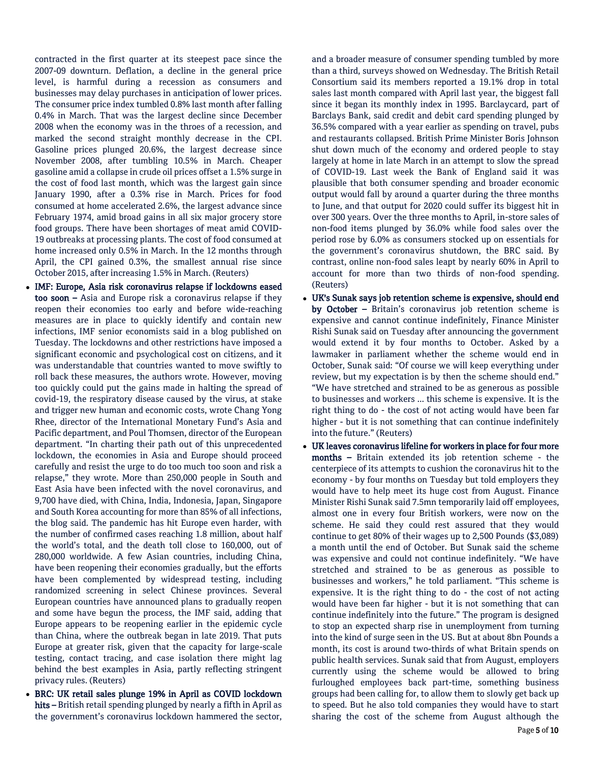contracted in the first quarter at its steepest pace since the 2007-09 downturn. Deflation, a decline in the general price level, is harmful during a recession as consumers and businesses may delay purchases in anticipation of lower prices. The consumer price index tumbled 0.8% last month after falling 0.4% in March. That was the largest decline since December 2008 when the economy was in the throes of a recession, and marked the second straight monthly decrease in the CPI. Gasoline prices plunged 20.6%, the largest decrease since November 2008, after tumbling 10.5% in March. Cheaper gasoline amid a collapse in crude oil prices offset a 1.5% surge in the cost of food last month, which was the largest gain since January 1990, after a 0.3% rise in March. Prices for food consumed at home accelerated 2.6%, the largest advance since February 1974, amid broad gains in all six major grocery store food groups. There have been shortages of meat amid COVID-19 outbreaks at processing plants. The cost of food consumed at home increased only 0.5% in March. In the 12 months through April, the CPI gained 0.3%, the smallest annual rise since October 2015, after increasing 1.5% in March. (Reuters)

- IMF: Europe, Asia risk coronavirus relapse if lockdowns eased too soon – Asia and Europe risk a coronavirus relapse if they reopen their economies too early and before wide-reaching measures are in place to quickly identify and contain new infections, IMF senior economists said in a blog published on Tuesday. The lockdowns and other restrictions have imposed a significant economic and psychological cost on citizens, and it was understandable that countries wanted to move swiftly to roll back these measures, the authors wrote. However, moving too quickly could put the gains made in halting the spread of covid-19, the respiratory disease caused by the virus, at stake and trigger new human and economic costs, wrote Chang Yong Rhee, director of the International Monetary Fund's Asia and Pacific department, and Poul Thomsen, director of the European department. "In charting their path out of this unprecedented lockdown, the economies in Asia and Europe should proceed carefully and resist the urge to do too much too soon and risk a relapse," they wrote. More than 250,000 people in South and East Asia have been infected with the novel coronavirus, and 9,700 have died, with China, India, Indonesia, Japan, Singapore and South Korea accounting for more than 85% of all infections, the blog said. The pandemic has hit Europe even harder, with the number of confirmed cases reaching 1.8 million, about half the world's total, and the death toll close to 160,000, out of 280,000 worldwide. A few Asian countries, including China, have been reopening their economies gradually, but the efforts have been complemented by widespread testing, including randomized screening in select Chinese provinces. Several European countries have announced plans to gradually reopen and some have begun the process, the IMF said, adding that Europe appears to be reopening earlier in the epidemic cycle than China, where the outbreak began in late 2019. That puts Europe at greater risk, given that the capacity for large-scale testing, contact tracing, and case isolation there might lag behind the best examples in Asia, partly reflecting stringent privacy rules. (Reuters)
- BRC: UK retail sales plunge 19% in April as COVID lockdown hits - British retail spending plunged by nearly a fifth in April as the government's coronavirus lockdown hammered the sector,

and a broader measure of consumer spending tumbled by more than a third, surveys showed on Wednesday. The British Retail Consortium said its members reported a 19.1% drop in total sales last month compared with April last year, the biggest fall since it began its monthly index in 1995. Barclaycard, part of Barclays Bank, said credit and debit card spending plunged by 36.5% compared with a year earlier as spending on travel, pubs and restaurants collapsed. British Prime Minister Boris Johnson shut down much of the economy and ordered people to stay largely at home in late March in an attempt to slow the spread of COVID-19. Last week the Bank of England said it was plausible that both consumer spending and broader economic output would fall by around a quarter during the three months to June, and that output for 2020 could suffer its biggest hit in over 300 years. Over the three months to April, in-store sales of non-food items plunged by 36.0% while food sales over the period rose by 6.0% as consumers stocked up on essentials for the government's coronavirus shutdown, the BRC said. By contrast, online non-food sales leapt by nearly 60% in April to account for more than two thirds of non-food spending. (Reuters)

- UK's Sunak says job retention scheme is expensive, should end by October – Britain's coronavirus job retention scheme is expensive and cannot continue indefinitely, Finance Minister Rishi Sunak said on Tuesday after announcing the government would extend it by four months to October. Asked by a lawmaker in parliament whether the scheme would end in October, Sunak said: "Of course we will keep everything under review, but my expectation is by then the scheme should end." "We have stretched and strained to be as generous as possible to businesses and workers ... this scheme is expensive. It is the right thing to do - the cost of not acting would have been far higher - but it is not something that can continue indefinitely into the future." (Reuters)
- UK leaves coronavirus lifeline for workers in place for four more months – Britain extended its job retention scheme - the centerpiece of its attempts to cushion the coronavirus hit to the economy - by four months on Tuesday but told employers they would have to help meet its huge cost from August. Finance Minister Rishi Sunak said 7.5mn temporarily laid off employees, almost one in every four British workers, were now on the scheme. He said they could rest assured that they would continue to get 80% of their wages up to 2,500 Pounds (\$3,089) a month until the end of October. But Sunak said the scheme was expensive and could not continue indefinitely. "We have stretched and strained to be as generous as possible to businesses and workers," he told parliament. "This scheme is expensive. It is the right thing to do - the cost of not acting would have been far higher - but it is not something that can continue indefinitely into the future." The program is designed to stop an expected sharp rise in unemployment from turning into the kind of surge seen in the US. But at about 8bn Pounds a month, its cost is around two-thirds of what Britain spends on public health services. Sunak said that from August, employers currently using the scheme would be allowed to bring furloughed employees back part-time, something business groups had been calling for, to allow them to slowly get back up to speed. But he also told companies they would have to start sharing the cost of the scheme from August although the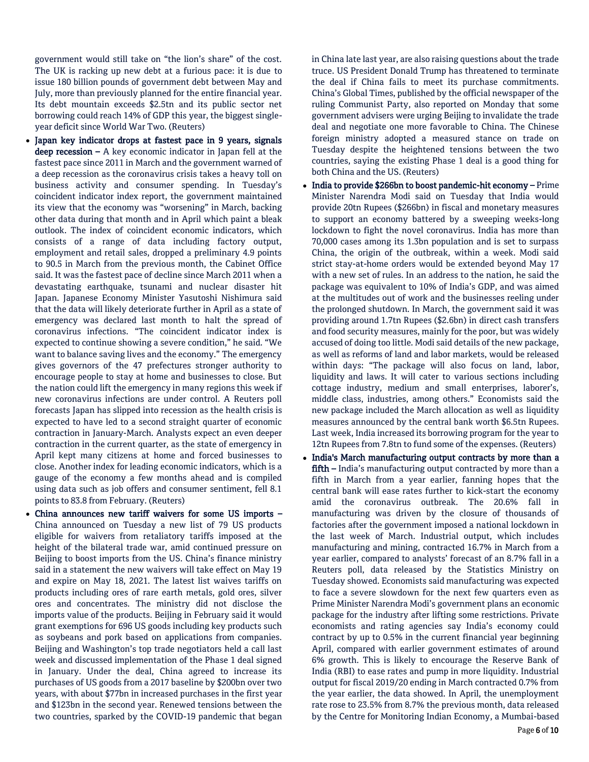government would still take on "the lion's share" of the cost. The UK is racking up new debt at a furious pace: it is due to issue 180 billion pounds of government debt between May and July, more than previously planned for the entire financial year. Its debt mountain exceeds \$2.5tn and its public sector net borrowing could reach 14% of GDP this year, the biggest singleyear deficit since World War Two. (Reuters)

- Japan key indicator drops at fastest pace in 9 years, signals deep recession – A key economic indicator in Japan fell at the fastest pace since 2011 in March and the government warned of a deep recession as the coronavirus crisis takes a heavy toll on business activity and consumer spending. In Tuesday's coincident indicator index report, the government maintained its view that the economy was "worsening" in March, backing other data during that month and in April which paint a bleak outlook. The index of coincident economic indicators, which consists of a range of data including factory output, employment and retail sales, dropped a preliminary 4.9 points to 90.5 in March from the previous month, the Cabinet Office said. It was the fastest pace of decline since March 2011 when a devastating earthquake, tsunami and nuclear disaster hit Japan. Japanese Economy Minister Yasutoshi Nishimura said that the data will likely deteriorate further in April as a state of emergency was declared last month to halt the spread of coronavirus infections. "The coincident indicator index is expected to continue showing a severe condition," he said. "We want to balance saving lives and the economy." The emergency gives governors of the 47 prefectures stronger authority to encourage people to stay at home and businesses to close. But the nation could lift the emergency in many regions this week if new coronavirus infections are under control. A Reuters poll forecasts Japan has slipped into recession as the health crisis is expected to have led to a second straight quarter of economic contraction in January-March. Analysts expect an even deeper contraction in the current quarter, as the state of emergency in April kept many citizens at home and forced businesses to close. Another index for leading economic indicators, which is a gauge of the economy a few months ahead and is compiled using data such as job offers and consumer sentiment, fell 8.1 points to 83.8 from February. (Reuters)
- China announces new tariff waivers for some US imports China announced on Tuesday a new list of 79 US products eligible for waivers from retaliatory tariffs imposed at the height of the bilateral trade war, amid continued pressure on Beijing to boost imports from the US. China's finance ministry said in a statement the new waivers will take effect on May 19 and expire on May 18, 2021. The latest list waives tariffs on products including ores of rare earth metals, gold ores, silver ores and concentrates. The ministry did not disclose the imports value of the products. Beijing in February said it would grant exemptions for 696 US goods including key products such as soybeans and pork based on applications from companies. Beijing and Washington's top trade negotiators held a call last week and discussed implementation of the Phase 1 deal signed in January. Under the deal, China agreed to increase its purchases of US goods from a 2017 baseline by \$200bn over two years, with about \$77bn in increased purchases in the first year and \$123bn in the second year. Renewed tensions between the two countries, sparked by the COVID-19 pandemic that began

in China late last year, are also raising questions about the trade truce. US President Donald Trump has threatened to terminate the deal if China fails to meet its purchase commitments. China's Global Times, published by the official newspaper of the ruling Communist Party, also reported on Monday that some government advisers were urging Beijing to invalidate the trade deal and negotiate one more favorable to China. The Chinese foreign ministry adopted a measured stance on trade on Tuesday despite the heightened tensions between the two countries, saying the existing Phase 1 deal is a good thing for both China and the US. (Reuters)

- India to provide \$266bn to boost pandemic-hit economy Prime Minister Narendra Modi said on Tuesday that India would provide 20tn Rupees (\$266bn) in fiscal and monetary measures to support an economy battered by a sweeping weeks-long lockdown to fight the novel coronavirus. India has more than 70,000 cases among its 1.3bn population and is set to surpass China, the origin of the outbreak, within a week. Modi said strict stay-at-home orders would be extended beyond May 17 with a new set of rules. In an address to the nation, he said the package was equivalent to 10% of India's GDP, and was aimed at the multitudes out of work and the businesses reeling under the prolonged shutdown. In March, the government said it was providing around 1.7tn Rupees (\$2.6bn) in direct cash transfers and food security measures, mainly for the poor, but was widely accused of doing too little. Modi said details of the new package, as well as reforms of land and labor markets, would be released within days: "The package will also focus on land, labor, liquidity and laws. It will cater to various sections including cottage industry, medium and small enterprises, laborer's, middle class, industries, among others." Economists said the new package included the March allocation as well as liquidity measures announced by the central bank worth \$6.5tn Rupees. Last week, India increased its borrowing program for the year to 12tn Rupees from 7.8tn to fund some of the expenses. (Reuters)
- India's March manufacturing output contracts by more than a fifth – India's manufacturing output contracted by more than a fifth in March from a year earlier, fanning hopes that the central bank will ease rates further to kick-start the economy amid the coronavirus outbreak. The 20.6% fall in manufacturing was driven by the closure of thousands of factories after the government imposed a national lockdown in the last week of March. Industrial output, which includes manufacturing and mining, contracted 16.7% in March from a year earlier, compared to analysts' forecast of an 8.7% fall in a Reuters poll, data released by the Statistics Ministry on Tuesday showed. Economists said manufacturing was expected to face a severe slowdown for the next few quarters even as Prime Minister Narendra Modi's government plans an economic package for the industry after lifting some restrictions. Private economists and rating agencies say India's economy could contract by up to 0.5% in the current financial year beginning April, compared with earlier government estimates of around 6% growth. This is likely to encourage the Reserve Bank of India (RBI) to ease rates and pump in more liquidity. Industrial output for fiscal 2019/20 ending in March contracted 0.7% from the year earlier, the data showed. In April, the unemployment rate rose to 23.5% from 8.7% the previous month, data released by the Centre for Monitoring Indian Economy, a Mumbai-based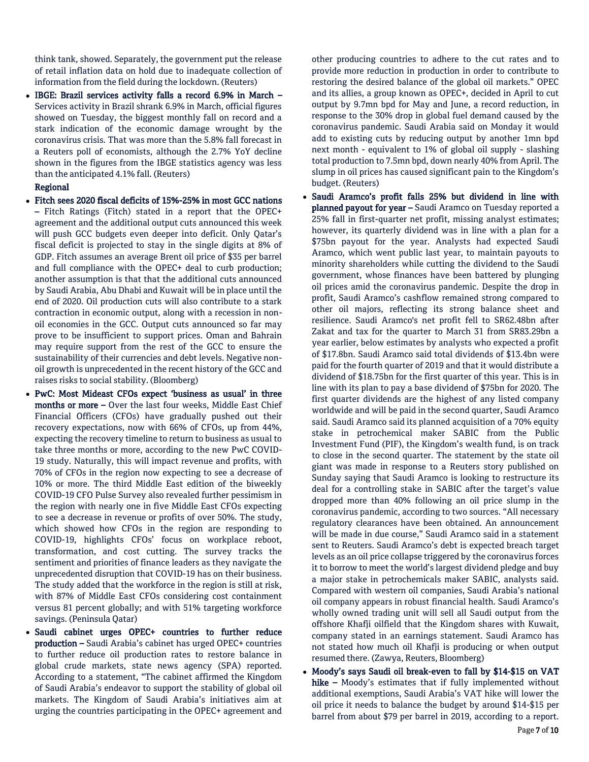think tank, showed. Separately, the government put the release of retail inflation data on hold due to inadequate collection of information from the field during the lockdown. (Reuters)

 IBGE: Brazil services activity falls a record 6.9% in March – Services activity in Brazil shrank 6.9% in March, official figures showed on Tuesday, the biggest monthly fall on record and a stark indication of the economic damage wrought by the coronavirus crisis. That was more than the 5.8% fall forecast in a Reuters poll of economists, although the 2.7% YoY decline shown in the figures from the IBGE statistics agency was less than the anticipated 4.1% fall. (Reuters)

# Regional

- Fitch sees 2020 fiscal deficits of 15%-25% in most GCC nations – Fitch Ratings (Fitch) stated in a report that the OPEC+ agreement and the additional output cuts announced this week will push GCC budgets even deeper into deficit. Only Qatar's fiscal deficit is projected to stay in the single digits at 8% of GDP. Fitch assumes an average Brent oil price of \$35 per barrel and full compliance with the OPEC+ deal to curb production; another assumption is that that the additional cuts announced by Saudi Arabia, Abu Dhabi and Kuwait will be in place until the end of 2020. Oil production cuts will also contribute to a stark contraction in economic output, along with a recession in nonoil economies in the GCC. Output cuts announced so far may prove to be insufficient to support prices. Oman and Bahrain may require support from the rest of the GCC to ensure the sustainability of their currencies and debt levels. Negative nonoil growth is unprecedented in the recent history of the GCC and raises risks to social stability. (Bloomberg)
- PwC: Most Mideast CFOs expect 'business as usual' in three months or more – Over the last four weeks, Middle East Chief Financial Officers (CFOs) have gradually pushed out their recovery expectations, now with 66% of CFOs, up from 44%, expecting the recovery timeline to return to business as usual to take three months or more, according to the new PwC COVID-19 study. Naturally, this will impact revenue and profits, with 70% of CFOs in the region now expecting to see a decrease of 10% or more. The third Middle East edition of the biweekly COVID-19 CFO Pulse Survey also revealed further pessimism in the region with nearly one in five Middle East CFOs expecting to see a decrease in revenue or profits of over 50%. The study, which showed how CFOs in the region are responding to COVID-19, highlights CFOs' focus on workplace reboot, transformation, and cost cutting. The survey tracks the sentiment and priorities of finance leaders as they navigate the unprecedented disruption that COVID-19 has on their business. The study added that the workforce in the region is still at risk, with 87% of Middle East CFOs considering cost containment versus 81 percent globally; and with 51% targeting workforce savings. (Peninsula Qatar)
- Saudi cabinet urges OPEC+ countries to further reduce production – Saudi Arabia's cabinet has urged OPEC+ countries to further reduce oil production rates to restore balance in global crude markets, state news agency (SPA) reported. According to a statement, "The cabinet affirmed the Kingdom of Saudi Arabia's endeavor to support the stability of global oil markets. The Kingdom of Saudi Arabia's initiatives aim at urging the countries participating in the OPEC+ agreement and

other producing countries to adhere to the cut rates and to provide more reduction in production in order to contribute to restoring the desired balance of the global oil markets." OPEC and its allies, a group known as OPEC+, decided in April to cut output by 9.7mn bpd for May and June, a record reduction, in response to the 30% drop in global fuel demand caused by the coronavirus pandemic. Saudi Arabia said on Monday it would add to existing cuts by reducing output by another 1mn bpd next month - equivalent to 1% of global oil supply - slashing total production to 7.5mn bpd, down nearly 40% from April. The slump in oil prices has caused significant pain to the Kingdom's budget. (Reuters)

- Saudi Aramco's profit falls 25% but dividend in line with planned payout for year – Saudi Aramco on Tuesday reported a 25% fall in first-quarter net profit, missing analyst estimates; however, its quarterly dividend was in line with a plan for a \$75bn payout for the year. Analysts had expected Saudi Aramco, which went public last year, to maintain payouts to minority shareholders while cutting the dividend to the Saudi government, whose finances have been battered by plunging oil prices amid the coronavirus pandemic. Despite the drop in profit, Saudi Aramco's cashflow remained strong compared to other oil majors, reflecting its strong balance sheet and resilience. Saudi Aramco's net profit fell to SR62.48bn after Zakat and tax for the quarter to March 31 from SR83.29bn a year earlier, below estimates by analysts who expected a profit of \$17.8bn. Saudi Aramco said total dividends of \$13.4bn were paid for the fourth quarter of 2019 and that it would distribute a dividend of \$18.75bn for the first quarter of this year. This is in line with its plan to pay a base dividend of \$75bn for 2020. The first quarter dividends are the highest of any listed company worldwide and will be paid in the second quarter, Saudi Aramco said. Saudi Aramco said its planned acquisition of a 70% equity stake in petrochemical maker SABIC from the Public Investment Fund (PIF), the Kingdom's wealth fund, is on track to close in the second quarter. The statement by the state oil giant was made in response to a Reuters story published on Sunday saying that Saudi Aramco is looking to restructure its deal for a controlling stake in SABIC after the target's value dropped more than 40% following an oil price slump in the coronavirus pandemic, according to two sources. "All necessary regulatory clearances have been obtained. An announcement will be made in due course," Saudi Aramco said in a statement sent to Reuters. Saudi Aramco's debt is expected breach target levels as an oil price collapse triggered by the coronavirus forces it to borrow to meet the world's largest dividend pledge and buy a major stake in petrochemicals maker SABIC, analysts said. Compared with western oil companies, Saudi Arabia's national oil company appears in robust financial health. Saudi Aramco's wholly owned trading unit will sell all Saudi output from the offshore Khafji oilfield that the Kingdom shares with Kuwait, company stated in an earnings statement. Saudi Aramco has not stated how much oil Khafji is producing or when output resumed there. (Zawya, Reuters, Bloomberg)
- Moody's says Saudi oil break-even to fall by \$14-\$15 on VAT hike - Moody's estimates that if fully implemented without additional exemptions, Saudi Arabia's VAT hike will lower the oil price it needs to balance the budget by around \$14-\$15 per barrel from about \$79 per barrel in 2019, according to a report.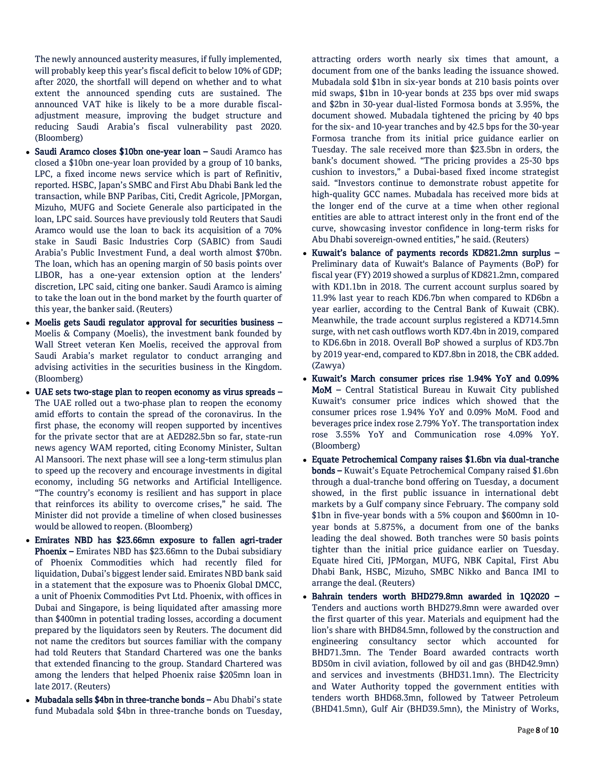The newly announced austerity measures, if fully implemented, will probably keep this year's fiscal deficit to below 10% of GDP; after 2020, the shortfall will depend on whether and to what extent the announced spending cuts are sustained. The announced VAT hike is likely to be a more durable fiscaladjustment measure, improving the budget structure and reducing Saudi Arabia's fiscal vulnerability past 2020. (Bloomberg)

- Saudi Aramco closes \$10bn one-year loan Saudi Aramco has closed a \$10bn one-year loan provided by a group of 10 banks, LPC, a fixed income news service which is part of Refinitiv, reported. HSBC, Japan's SMBC and First Abu Dhabi Bank led the transaction, while BNP Paribas, Citi, Credit Agricole, JPMorgan, Mizuho, MUFG and Societe Generale also participated in the loan, LPC said. Sources have previously told Reuters that Saudi Aramco would use the loan to back its acquisition of a 70% stake in Saudi Basic Industries Corp (SABIC) from Saudi Arabia's Public Investment Fund, a deal worth almost \$70bn. The loan, which has an opening margin of 50 basis points over LIBOR, has a one-year extension option at the lenders' discretion, LPC said, citing one banker. Saudi Aramco is aiming to take the loan out in the bond market by the fourth quarter of this year, the banker said. (Reuters)
- Moelis gets Saudi regulator approval for securities business Moelis & Company (Moelis), the investment bank founded by Wall Street veteran Ken Moelis, received the approval from Saudi Arabia's market regulator to conduct arranging and advising activities in the securities business in the Kingdom. (Bloomberg)
- UAE sets two-stage plan to reopen economy as virus spreads The UAE rolled out a two-phase plan to reopen the economy amid efforts to contain the spread of the coronavirus. In the first phase, the economy will reopen supported by incentives for the private sector that are at AED282.5bn so far, state-run news agency WAM reported, citing Economy Minister, Sultan Al Mansoori. The next phase will see a long-term stimulus plan to speed up the recovery and encourage investments in digital economy, including 5G networks and Artificial Intelligence. "The country's economy is resilient and has support in place that reinforces its ability to overcome crises," he said. The Minister did not provide a timeline of when closed businesses would be allowed to reopen. (Bloomberg)
- Emirates NBD has \$23.66mn exposure to fallen agri-trader Phoenix – Emirates NBD has \$23.66mn to the Dubai subsidiary of Phoenix Commodities which had recently filed for liquidation, Dubai's biggest lender said. Emirates NBD bank said in a statement that the exposure was to Phoenix Global DMCC, a unit of Phoenix Commodities Pvt Ltd. Phoenix, with offices in Dubai and Singapore, is being liquidated after amassing more than \$400mn in potential trading losses, according a document prepared by the liquidators seen by Reuters. The document did not name the creditors but sources familiar with the company had told Reuters that Standard Chartered was one the banks that extended financing to the group. Standard Chartered was among the lenders that helped Phoenix raise \$205mn loan in late 2017. (Reuters)
- Mubadala sells \$4bn in three-tranche bonds Abu Dhabi's state fund Mubadala sold \$4bn in three-tranche bonds on Tuesday,

attracting orders worth nearly six times that amount, a document from one of the banks leading the issuance showed. Mubadala sold \$1bn in six-year bonds at 210 basis points over mid swaps, \$1bn in 10-year bonds at 235 bps over mid swaps and \$2bn in 30-year dual-listed Formosa bonds at 3.95%, the document showed. Mubadala tightened the pricing by 40 bps for the six- and 10-year tranches and by 42.5 bps for the 30-year Formosa tranche from its initial price guidance earlier on Tuesday. The sale received more than \$23.5bn in orders, the bank's document showed. "The pricing provides a 25-30 bps cushion to investors," a Dubai-based fixed income strategist said. "Investors continue to demonstrate robust appetite for high-quality GCC names. Mubadala has received more bids at the longer end of the curve at a time when other regional entities are able to attract interest only in the front end of the curve, showcasing investor confidence in long-term risks for Abu Dhabi sovereign-owned entities," he said. (Reuters)

- Kuwait's balance of payments records KD821.2mn surplus Preliminary data of Kuwait's Balance of Payments (BoP) for fiscal year (FY) 2019 showed a surplus of KD821.2mn, compared with KD1.1bn in 2018. The current account surplus soared by 11.9% last year to reach KD6.7bn when compared to KD6bn a year earlier, according to the Central Bank of Kuwait (CBK). Meanwhile, the trade account surplus registered a KD714.5mn surge, with net cash outflows worth KD7.4bn in 2019, compared to KD6.6bn in 2018. Overall BoP showed a surplus of KD3.7bn by 2019 year-end, compared to KD7.8bn in 2018, the CBK added. (Zawya)
- Kuwait's March consumer prices rise 1.94% YoY and 0.09% MoM – Central Statistical Bureau in Kuwait City published Kuwait's consumer price indices which showed that the consumer prices rose 1.94% YoY and 0.09% MoM. Food and beverages price index rose 2.79% YoY. The transportation index rose 3.55% YoY and Communication rose 4.09% YoY. (Bloomberg)
- Equate Petrochemical Company raises \$1.6bn via dual-tranche bonds – Kuwait's Equate Petrochemical Company raised \$1.6bn through a dual-tranche bond offering on Tuesday, a document showed, in the first public issuance in international debt markets by a Gulf company since February. The company sold \$1bn in five-year bonds with a 5% coupon and \$600mn in 10 year bonds at 5.875%, a document from one of the banks leading the deal showed. Both tranches were 50 basis points tighter than the initial price guidance earlier on Tuesday. Equate hired Citi, JPMorgan, MUFG, NBK Capital, First Abu Dhabi Bank, HSBC, Mizuho, SMBC Nikko and Banca IMI to arrange the deal. (Reuters)
- Bahrain tenders worth BHD279.8mn awarded in 1Q2020 Tenders and auctions worth BHD279.8mn were awarded over the first quarter of this year. Materials and equipment had the lion's share with BHD84.5mn, followed by the construction and engineering consultancy sector which accounted for BHD71.3mn. The Tender Board awarded contracts worth BD50m in civil aviation, followed by oil and gas (BHD42.9mn) and services and investments (BHD31.1mn). The Electricity and Water Authority topped the government entities with tenders worth BHD68.3mn, followed by Tatweer Petroleum (BHD41.5mn), Gulf Air (BHD39.5mn), the Ministry of Works,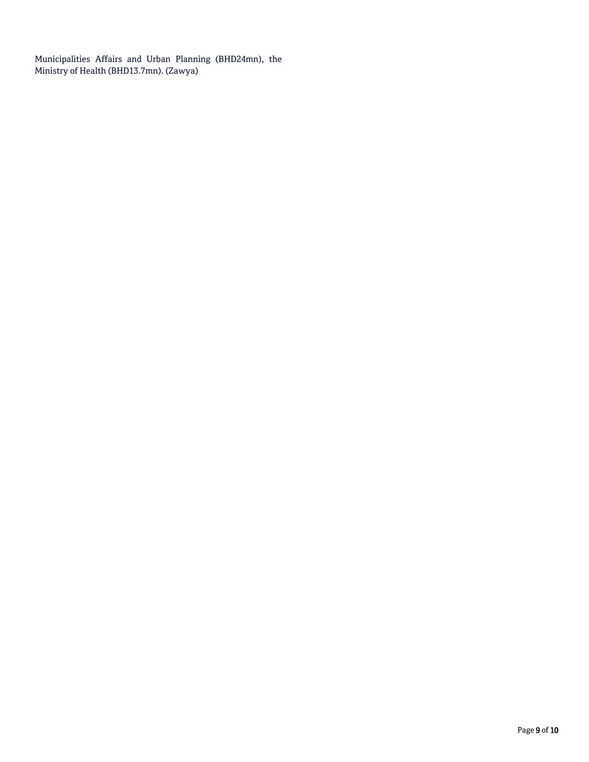Municipalities Affairs and Urban Planning (BHD24mn), the Ministry of Health (BHD13.7mn). (Zawya)